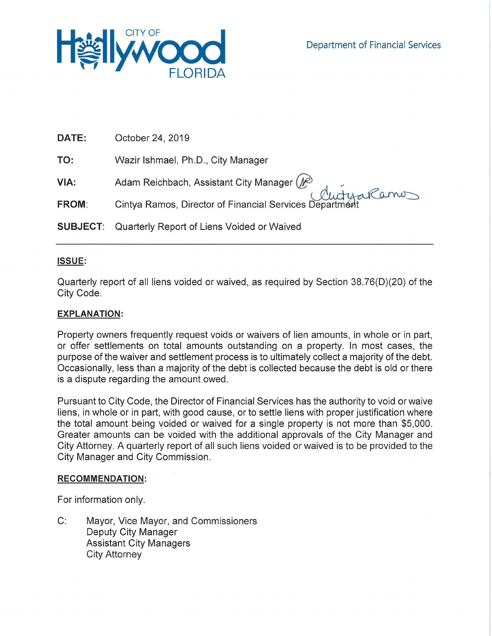

| DATE:        | October 24, 2019                                                                                      |
|--------------|-------------------------------------------------------------------------------------------------------|
| TO:          | Wazir Ishmael, Ph.D., City Manager                                                                    |
| VIA:         | Adam Reichbach, Assistant City Manager (P)<br>Cintya Ramos, Director of Financial Services Department |
| <b>FROM:</b> |                                                                                                       |
|              | <b>SUBJECT:</b> Quarterly Report of Liens Voided or Waived                                            |

# ISSUE:

Quarterly report of all liens voided or waived, as required by Section 38.76(D)(20) of the City Code.

## **EXPLANATION:**

Property owners frequently request voids or waivers of lien amounts, in whole or in part, or offer settlements on total amounts outstanding on a property. In most cases, the purpose of the waiver and settlement process is to ultimately collect a majority of the debt. Occasionally, less than a majority of the debt is collected because the debt is old or there is a dispute regarding the amount owed.

Pursuant to City Code, the Director of Financial Services has the authority to void or waive liens, in whole or in part, with good cause, or to settle liens with proper justification where the total amount being voided or waived for a single property is not more than \$5,000. Greater amounts can be voided with the additional approvals of the City Manager and City Attorney. A quarterly report of all such liens voided or waived is to be provided to the City Manager and City Commission.

### **RECOMMENDATION:**

For information only.

 $C$ : Mayor, Vice Mayor, and Commissioners Deputy City Manager **Assistant City Managers City Attorney**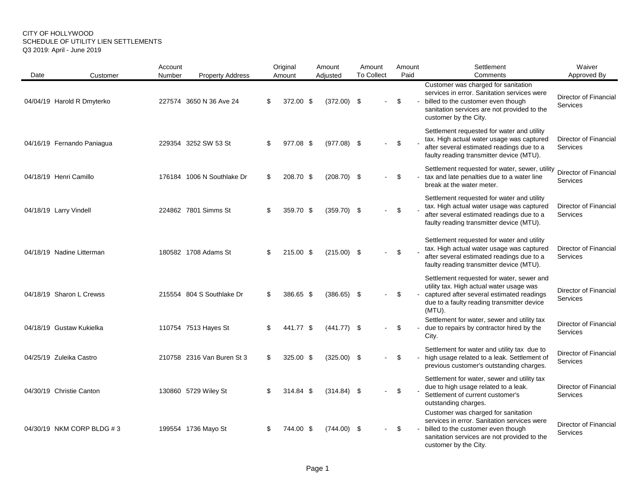#### CITY OF HOLLYWOOD SCHEDULE OF UTILITY LIEN SETTLEMENTS Q3 2019: April - June 2019

| Date | Customer                   | Account<br>Number | <b>Property Address</b>    |    | Original<br>Amount | Amount<br>Adjusted | Amount<br><b>To Collect</b> | Amount<br>Paid | Settlement<br>Comments                                                                                                                                                                           | Waiver<br>Approved By                           |
|------|----------------------------|-------------------|----------------------------|----|--------------------|--------------------|-----------------------------|----------------|--------------------------------------------------------------------------------------------------------------------------------------------------------------------------------------------------|-------------------------------------------------|
|      | 04/04/19 Harold R Dmyterko |                   | 227574 3650 N 36 Ave 24    | S  | 372.00 \$          | $(372.00)$ \$      |                             | \$             | Customer was charged for sanitation<br>services in error. Sanitation services were<br>billed to the customer even though<br>sanitation services are not provided to the<br>customer by the City. | <b>Director of Financial</b><br>Services        |
|      | 04/16/19 Fernando Paniagua |                   | 229354 3252 SW 53 St       | S  | 977.08 \$          | $(977.08)$ \$      |                             | \$             | Settlement requested for water and utility<br>tax. High actual water usage was captured<br>after several estimated readings due to a<br>faulty reading transmitter device (MTU).                 | Director of Financial<br><b>Services</b>        |
|      | 04/18/19 Henri Camillo     |                   | 176184 1006 N Southlake Dr | S  | 208.70 \$          | $(208.70)$ \$      |                             | \$             | Settlement requested for water, sewer, utility<br>tax and late penalties due to a water line<br>break at the water meter.                                                                        | Director of Financial<br>Services               |
|      | 04/18/19 Larry Vindell     |                   | 224862 7801 Simms St       | \$ | 359.70 \$          | $(359.70)$ \$      |                             | \$             | Settlement requested for water and utility<br>tax. High actual water usage was captured<br>after several estimated readings due to a<br>faulty reading transmitter device (MTU).                 | Director of Financial<br>Services               |
|      | 04/18/19 Nadine Litterman  |                   | 180582 1708 Adams St       | ß. | 215.00 \$          | $(215.00)$ \$      |                             | \$             | Settlement requested for water and utility<br>tax. High actual water usage was captured<br>after several estimated readings due to a<br>faulty reading transmitter device (MTU).                 | Director of Financial<br>Services               |
|      | 04/18/19 Sharon L Crewss   |                   | 215554 804 S Southlake Dr  |    | 386.65 \$          | $(386.65)$ \$      |                             | \$             | Settlement requested for water, sewer and<br>utility tax. High actual water usage was<br>captured after several estimated readings<br>due to a faulty reading transmitter device<br>(MTU).       | Director of Financial<br><b>Services</b>        |
|      | 04/18/19 Gustaw Kukielka   |                   | 110754 7513 Hayes St       |    | 441.77 \$          | $(441.77)$ \$      |                             | \$             | Settlement for water, sewer and utility tax<br>due to repairs by contractor hired by the<br>City.                                                                                                | <b>Director of Financial</b><br><b>Services</b> |
|      | 04/25/19 Zuleika Castro    |                   | 210758 2316 Van Buren St 3 | S  | 325.00 \$          | $(325.00)$ \$      |                             | \$             | Settlement for water and utility tax due to<br>high usage related to a leak. Settlement of<br>previous customer's outstanding charges.                                                           | Director of Financial<br><b>Services</b>        |
|      | 04/30/19 Christie Canton   |                   | 130860 5729 Wiley St       |    | 314.84 \$          | $(314.84)$ \$      |                             | \$             | Settlement for water, sewer and utility tax<br>due to high usage related to a leak.<br>Settlement of current customer's<br>outstanding charges.                                                  | <b>Director of Financial</b><br>Services        |
|      | 04/30/19 NKM CORP BLDG #3  |                   | 199554 1736 Mayo St        |    | 744.00 \$          | $(744.00)$ \$      |                             | \$             | Customer was charged for sanitation<br>services in error. Sanitation services were<br>billed to the customer even though<br>sanitation services are not provided to the<br>customer by the City. | Director of Financial<br>Services               |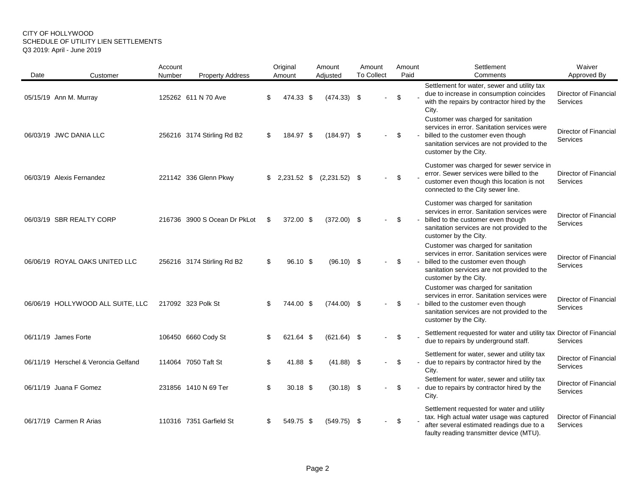#### CITY OF HOLLYWOOD SCHEDULE OF UTILITY LIEN SETTLEMENTS Q3 2019: April - June 2019

| Date | Customer                             | Account<br>Number | <b>Property Address</b>      |     | Original<br>Amount | Amount<br>Adjusted | Amount<br><b>To Collect</b> |                |     | Amount<br>Paid | Settlement<br>Comments                                                                                                                                                                           | Waiver<br>Approved By                           |
|------|--------------------------------------|-------------------|------------------------------|-----|--------------------|--------------------|-----------------------------|----------------|-----|----------------|--------------------------------------------------------------------------------------------------------------------------------------------------------------------------------------------------|-------------------------------------------------|
|      | 05/15/19 Ann M. Murray               |                   | 125262 611 N 70 Ave          |     | 474.33 \$          | $(474.33)$ \$      |                             |                | \$  |                | Settlement for water, sewer and utility tax<br>due to increase in consumption coincides<br>with the repairs by contractor hired by the<br>City.                                                  | Director of Financial<br>Services               |
|      | 06/03/19 JWC DANIA LLC               |                   | 256216 3174 Stirling Rd B2   | \$  | 184.97 \$          | $(184.97)$ \$      |                             | $\blacksquare$ | \$  |                | Customer was charged for sanitation<br>services in error. Sanitation services were<br>billed to the customer even though<br>sanitation services are not provided to the<br>customer by the City. | Director of Financial<br>Services               |
|      | 06/03/19 Alexis Fernandez            |                   | 221142 336 Glenn Pkwy        |     | 2,231.52 \$        | $(2,231.52)$ \$    |                             |                | \$  |                | Customer was charged for sewer service in<br>error. Sewer services were billed to the<br>customer even though this location is not<br>connected to the City sewer line.                          | Director of Financial<br>Services               |
|      | 06/03/19 SBR REALTY CORP             |                   | 216736 3900 S Ocean Dr PkLot | \$. | 372.00 \$          | $(372.00)$ \$      |                             | $\overline{a}$ | -\$ |                | Customer was charged for sanitation<br>services in error. Sanitation services were<br>billed to the customer even though<br>sanitation services are not provided to the<br>customer by the City. | Director of Financial<br><b>Services</b>        |
|      | 06/06/19 ROYAL OAKS UNITED LLC       |                   | 256216 3174 Stirling Rd B2   | \$  | 96.10 \$           | $(96.10)$ \$       |                             | $\overline{a}$ | \$  |                | Customer was charged for sanitation<br>services in error. Sanitation services were<br>billed to the customer even though<br>sanitation services are not provided to the<br>customer by the City. | Director of Financial<br><b>Services</b>        |
|      | 06/06/19 HOLLYWOOD ALL SUITE, LLC    |                   | 217092 323 Polk St           |     | 744.00 \$          | $(744.00)$ \$      |                             |                | \$  |                | Customer was charged for sanitation<br>services in error. Sanitation services were<br>billed to the customer even though<br>sanitation services are not provided to the<br>customer by the City. | <b>Director of Financial</b><br><b>Services</b> |
|      | 06/11/19 James Forte                 |                   | 106450 6660 Cody St          |     | 621.64 \$          | $(621.64)$ \$      |                             | ä,             | \$  |                | Settlement requested for water and utility tax Director of Financial<br>due to repairs by underground staff.                                                                                     | <b>Services</b>                                 |
|      | 06/11/19 Herschel & Veroncia Gelfand |                   | 114064 7050 Taft St          |     | 41.88 \$           | $(41.88)$ \$       |                             |                | \$  |                | Settlement for water, sewer and utility tax<br>due to repairs by contractor hired by the<br>City.                                                                                                | Director of Financial<br>Services               |
|      | 06/11/19 Juana F Gomez               |                   | 231856 1410 N 69 Ter         |     | $30.18$ \$         | $(30.18)$ \$       |                             | $\overline{a}$ | \$  |                | Settlement for water, sewer and utility tax<br>due to repairs by contractor hired by the<br>City.                                                                                                | Director of Financial<br>Services               |
|      | 06/17/19 Carmen R Arias              |                   | 110316 7351 Garfield St      |     | 549.75 \$          | $(549.75)$ \$      |                             | $\omega$       | \$  |                | Settlement requested for water and utility<br>tax. High actual water usage was captured<br>after several estimated readings due to a<br>faulty reading transmitter device (MTU).                 | Director of Financial<br>Services               |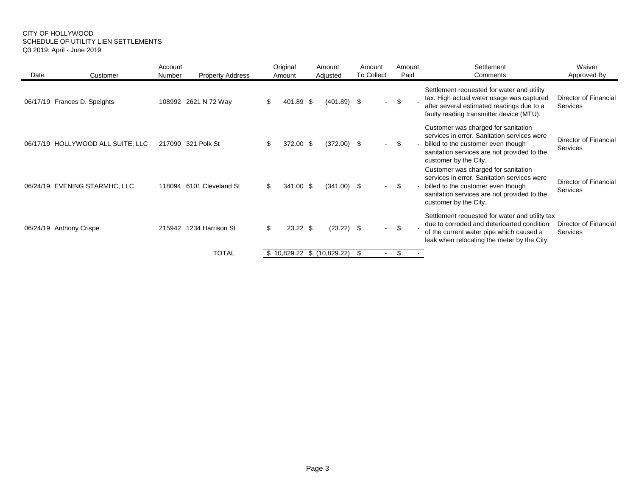#### CITY OF HOLLYWOOD SCHEDULE OF UTILITY LIEN SETTLEMENTS Q3 2019: April - June 2019

| Date                         | Customer                          | Account<br>Number | <b>Property Address</b>  |     | Original<br>Amount          | Amount<br>Adjusted |               | Amount<br><b>To Collect</b> | Amount<br>Paid | Settlement<br>Comments                                                                                                                                                                           | Waiver<br>Approved By                    |
|------------------------------|-----------------------------------|-------------------|--------------------------|-----|-----------------------------|--------------------|---------------|-----------------------------|----------------|--------------------------------------------------------------------------------------------------------------------------------------------------------------------------------------------------|------------------------------------------|
| 06/17/19 Frances D. Speights |                                   |                   | 108992 2621 N 72 Way     | \$  | 401.89 \$                   |                    | $(401.89)$ \$ | $\sim$                      | \$             | Settlement requested for water and utility<br>tax. High actual water usage was captured<br>after several estimated readings due to a<br>faulty reading transmitter device (MTU).                 | Director of Financial<br>Services        |
|                              | 06/17/19 HOLLYWOOD ALL SUITE, LLC |                   | 217090 321 Polk St       |     | 372.00 \$                   |                    | $(372.00)$ \$ | $\sim$                      | -\$            | Customer was charged for sanitation<br>services in error. Sanitation services were<br>billed to the customer even though<br>sanitation services are not provided to the<br>customer by the City. | Director of Financial<br>Services        |
|                              | 06/24/19 EVENING STARMHC, LLC     |                   | 118094 6101 Cleveland St | \$. | 341.00 \$                   |                    | $(341.00)$ \$ | $\sim$                      | \$             | Customer was charged for sanitation<br>services in error. Sanitation services were<br>billed to the customer even though<br>sanitation services are not provided to the<br>customer by the City. | Director of Financial<br><b>Services</b> |
| 06/24/19 Anthony Crispe      |                                   | 215942            | 1234 Harrison St         | \$. | $23.22$ \$                  |                    | $(23.22)$ \$  | $\sim$                      | \$             | Settlement requested for water and utility tax<br>due to corroded and deterioarted condition<br>of the current water pipe which caused a<br>leak when relocating the meter by the City.          | Director of Financial<br>Services        |
|                              |                                   |                   | <b>TOTAL</b>             |     | $$10,829.22$ $$(10,829.22)$ |                    |               | \$.                         | \$             |                                                                                                                                                                                                  |                                          |